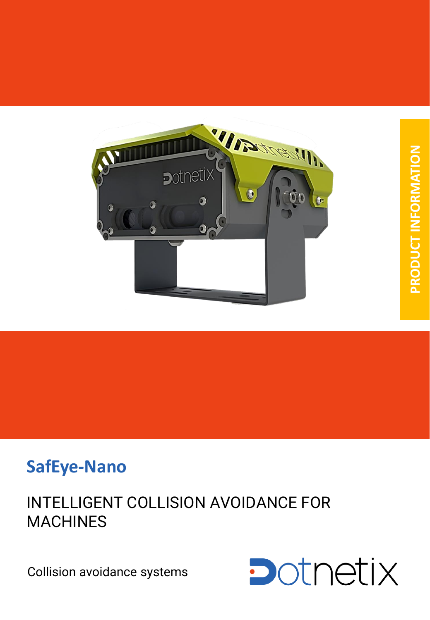

# **SafEye-Nano**

# INTELLIGENT COLLISION AVOIDANCE FOR **MACHINES**

Collision avoidance systems

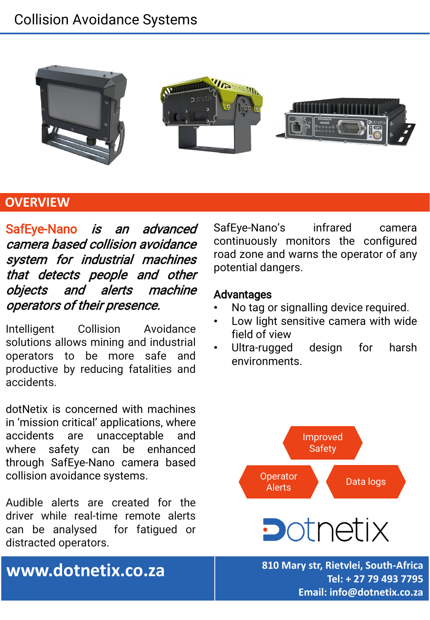# Collision Avoidance Systems



### **OVERVIEW**

SafEye-Nano *is an advanced* camera based collision avoidance system for industrial machines that detects people and other objects and alerts machine operators of their presence.

Intelligent Collision Avoidance solutions allows mining and industrial operators to be more safe and productive by reducing fatalities and accidents.

dotNetix is concerned with machines in 'mission critical' applications, where accidents are unacceptable and where safety can be enhanced through SafEye-Nano camera based collision avoidance systems.

Audible alerts are created for the driver while real-time remote alerts can be analysed for fatigued or distracted operators.

SafEye-Nano's infrared camera continuously monitors the configured road zone and warns the operator of any potential dangers.

### Advantages

- No tag or signalling device required.
- Low light sensitive camera with wide field of view
- Ultra-rugged design for harsh environments.



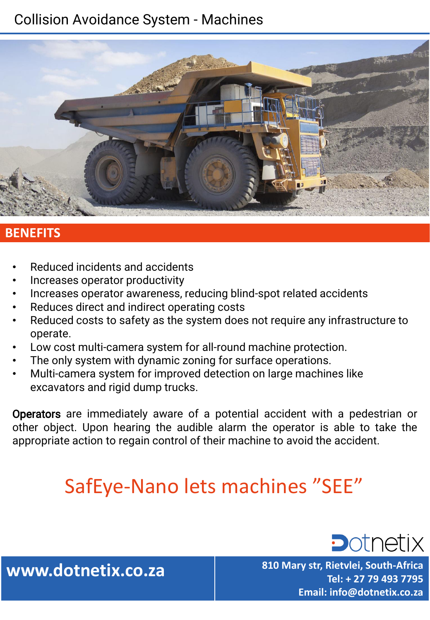# Collision Avoidance System - Machines



### **BENEFITS**

- Reduced incidents and accidents
- Increases operator productivity
- Increases operator awareness, reducing blind-spot related accidents
- Reduces direct and indirect operating costs
- Reduced costs to safety as the system does not require any infrastructure to operate.
- Low cost multi-camera system for all-round machine protection.
- The only system with dynamic zoning for surface operations.
- Multi-camera system for improved detection on large machines like excavators and rigid dump trucks.

Operators are immediately aware of a potential accident with a pedestrian or other object. Upon hearing the audible alarm the operator is able to take the appropriate action to regain control of their machine to avoid the accident.

# SafEye-Nano lets machines "SEE"

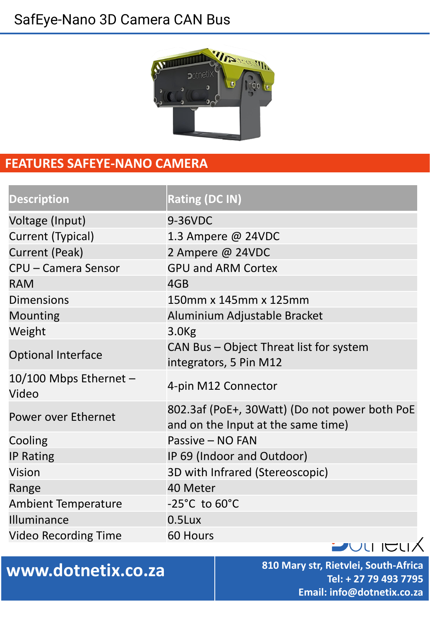# SafEye-Nano 3D Camera CAN Bus



### **FEATURES SAFEYE-NANO CAMERA**

| <b>Description</b>              | <b>Rating (DC IN)</b>                                                               |
|---------------------------------|-------------------------------------------------------------------------------------|
| Voltage (Input)                 | 9-36VDC                                                                             |
| Current (Typical)               | 1.3 Ampere @ 24VDC                                                                  |
| <b>Current (Peak)</b>           | 2 Ampere @ 24VDC                                                                    |
| <b>CPU - Camera Sensor</b>      | <b>GPU and ARM Cortex</b>                                                           |
| <b>RAM</b>                      | 4GB                                                                                 |
| <b>Dimensions</b>               | 150mm x 145mm x 125mm                                                               |
| <b>Mounting</b>                 | Aluminium Adjustable Bracket                                                        |
| Weight                          | 3.0 <sub>kg</sub>                                                                   |
| <b>Optional Interface</b>       | CAN Bus - Object Threat list for system<br>integrators, 5 Pin M12                   |
| 10/100 Mbps Ethernet -<br>Video | 4-pin M12 Connector                                                                 |
| Power over Ethernet             | 802.3af (PoE+, 30Watt) (Do not power both PoE<br>and on the Input at the same time) |
| Cooling                         | Passive - NO FAN                                                                    |
| <b>IP Rating</b>                | IP 69 (Indoor and Outdoor)                                                          |
| <b>Vision</b>                   | 3D with Infrared (Stereoscopic)                                                     |
| Range                           | 40 Meter                                                                            |
| <b>Ambient Temperature</b>      | $-25^{\circ}$ C to $60^{\circ}$ C                                                   |
| Illuminance                     | 0.5Lux                                                                              |
| <b>Video Recording Time</b>     | 60 Hours                                                                            |
|                                 | <b>JULICL</b>                                                                       |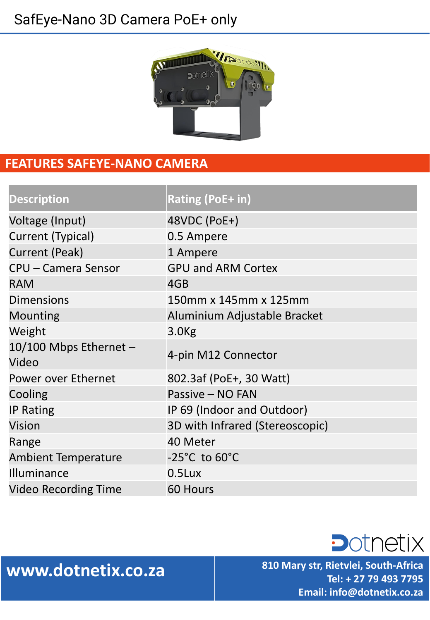# SafEye-Nano 3D Camera PoE+ only



### **FEATURES SAFEYE-NANO CAMERA**

| <b>Description</b>              | <b>Rating (PoE+ in)</b>           |
|---------------------------------|-----------------------------------|
| Voltage (Input)                 | 48VDC (PoE+)                      |
| Current (Typical)               | 0.5 Ampere                        |
| Current (Peak)                  | 1 Ampere                          |
| <b>CPU - Camera Sensor</b>      | <b>GPU and ARM Cortex</b>         |
| <b>RAM</b>                      | 4GB                               |
| <b>Dimensions</b>               | 150mm x 145mm x 125mm             |
| <b>Mounting</b>                 | Aluminium Adjustable Bracket      |
| Weight                          | 3.0 <sub>kg</sub>                 |
| 10/100 Mbps Ethernet -<br>Video | 4-pin M12 Connector               |
| Power over Ethernet             | 802.3af (PoE+, 30 Watt)           |
| Cooling                         | Passive - NO FAN                  |
| <b>IP Rating</b>                | IP 69 (Indoor and Outdoor)        |
| <b>Vision</b>                   | 3D with Infrared (Stereoscopic)   |
| Range                           | 40 Meter                          |
| <b>Ambient Temperature</b>      | $-25^{\circ}$ C to $60^{\circ}$ C |
| Illuminance                     | 0.5Lux                            |
| <b>Video Recording Time</b>     | 60 Hours                          |

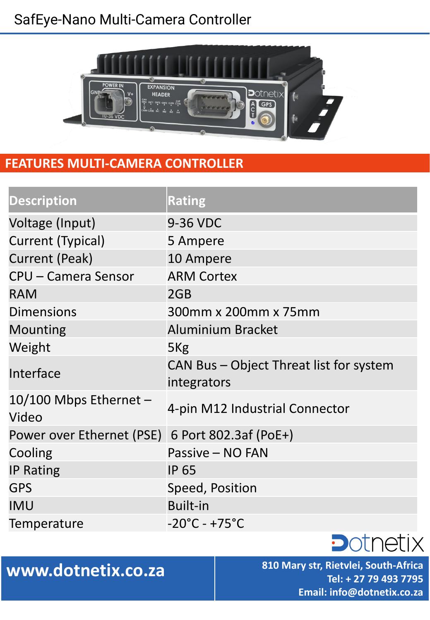# SafEye-Nano Multi-Camera Controller



### **FEATURES MULTI-CAMERA CONTROLLER**

| <b>Description</b>                | <b>Rating</b>                                          |
|-----------------------------------|--------------------------------------------------------|
| Voltage (Input)                   | 9-36 VDC                                               |
| Current (Typical)                 | 5 Ampere                                               |
| <b>Current (Peak)</b>             | 10 Ampere                                              |
| <b>CPU - Camera Sensor</b>        | <b>ARM Cortex</b>                                      |
| <b>RAM</b>                        | 2GB                                                    |
| <b>Dimensions</b>                 | 300mm x 200mm x 75mm                                   |
| <b>Mounting</b>                   | <b>Aluminium Bracket</b>                               |
| Weight                            | 5 <sub>Kg</sub>                                        |
| Interface                         | CAN Bus - Object Threat list for system<br>integrators |
| 10/100 Mbps Ethernet $-$<br>Video | 4-pin M12 Industrial Connector                         |
| Power over Ethernet (PSE)         | 6 Port 802.3af (PoE+)                                  |
| Cooling                           | Passive - NO FAN                                       |
| <b>IP Rating</b>                  | <b>IP 65</b>                                           |
| <b>GPS</b>                        | Speed, Position                                        |
| <b>IMU</b>                        | <b>Built-in</b>                                        |
| Temperature                       | $-20^{\circ}$ C - +75 $^{\circ}$ C                     |
|                                   |                                                        |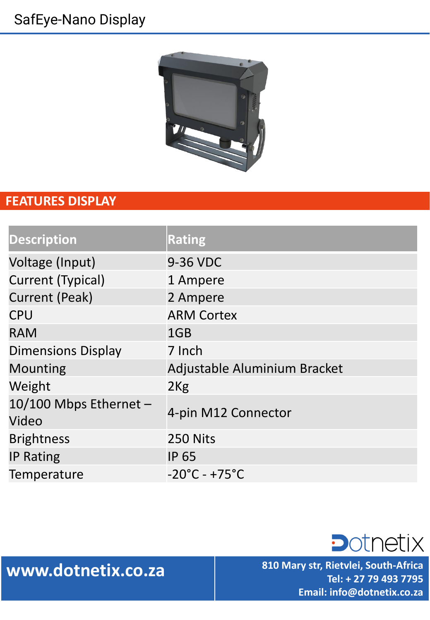# SafEye-Nano Display



### **FEATURES DISPLAY**

| <b>Description</b>              | <b>Rating</b>                      |
|---------------------------------|------------------------------------|
| Voltage (Input)                 | 9-36 VDC                           |
| <b>Current (Typical)</b>        | 1 Ampere                           |
| <b>Current (Peak)</b>           | 2 Ampere                           |
| <b>CPU</b>                      | <b>ARM Cortex</b>                  |
| <b>RAM</b>                      | 1GB                                |
| <b>Dimensions Display</b>       | 7 Inch                             |
| <b>Mounting</b>                 | Adjustable Aluminium Bracket       |
| Weight                          | 2Kg                                |
| 10/100 Mbps Ethernet -<br>Video | 4-pin M12 Connector                |
| <b>Brightness</b>               | 250 Nits                           |
| <b>IP Rating</b>                | <b>IP 65</b>                       |
| Temperature                     | $-20^{\circ}$ C - +75 $^{\circ}$ C |

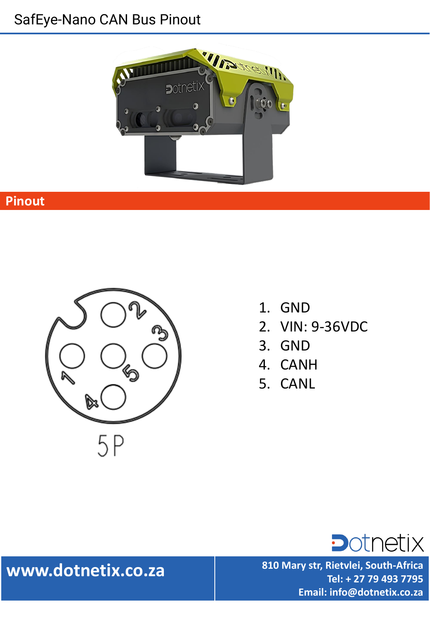## SafEye-Nano CAN Bus Pinout



### **Pinout**



- 1. GND
- 2. VIN: 9-36VDC
- 3. GND
- 4. CANH
- 5. CANL